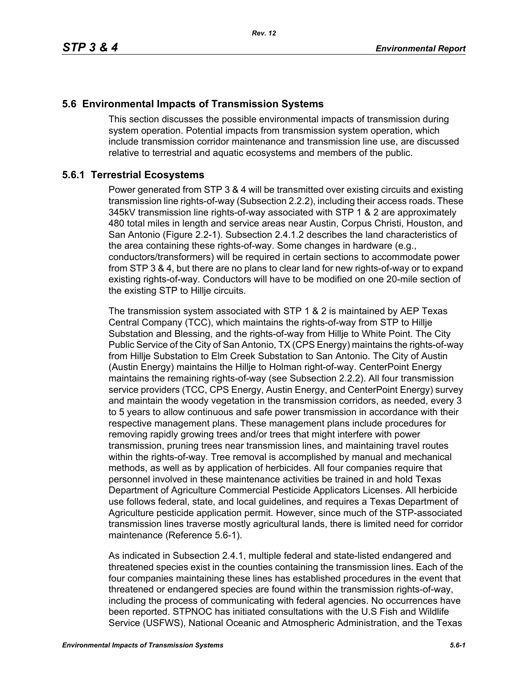## **5.6 Environmental Impacts of Transmission Systems**

This section discusses the possible environmental impacts of transmission during system operation. Potential impacts from transmission system operation, which include transmission corridor maintenance and transmission line use, are discussed relative to terrestrial and aquatic ecosystems and members of the public.

*Rev. 12*

#### **5.6.1 Terrestrial Ecosystems**

Power generated from STP 3 & 4 will be transmitted over existing circuits and existing transmission line rights-of-way (Subsection 2.2.2), including their access roads. These 345kV transmission line rights-of-way associated with STP 1 & 2 are approximately 480 total miles in length and service areas near Austin, Corpus Christi, Houston, and San Antonio (Figure 2.2-1). Subsection 2.4.1.2 describes the land characteristics of the area containing these rights-of-way. Some changes in hardware (e.g., conductors/transformers) will be required in certain sections to accommodate power from STP 3 & 4, but there are no plans to clear land for new rights-of-way or to expand existing rights-of-way. Conductors will have to be modified on one 20-mile section of the existing STP to Hillje circuits.

The transmission system associated with STP 1 & 2 is maintained by AEP Texas Central Company (TCC), which maintains the rights-of-way from STP to Hillje Substation and Blessing, and the rights-of-way from Hillje to White Point. The City Public Service of the City of San Antonio, TX (CPS Energy) maintains the rights-of-way from Hillje Substation to Elm Creek Substation to San Antonio. The City of Austin (Austin Energy) maintains the Hillje to Holman right-of-way. CenterPoint Energy maintains the remaining rights-of-way (see Subsection 2.2.2). All four transmission service providers (TCC, CPS Energy, Austin Energy, and CenterPoint Energy) survey and maintain the woody vegetation in the transmission corridors, as needed, every 3 to 5 years to allow continuous and safe power transmission in accordance with their respective management plans. These management plans include procedures for removing rapidly growing trees and/or trees that might interfere with power transmission, pruning trees near transmission lines, and maintaining travel routes within the rights-of-way. Tree removal is accomplished by manual and mechanical methods, as well as by application of herbicides. All four companies require that personnel involved in these maintenance activities be trained in and hold Texas Department of Agriculture Commercial Pesticide Applicators Licenses. All herbicide use follows federal, state, and local guidelines, and requires a Texas Department of Agriculture pesticide application permit. However, since much of the STP-associated transmission lines traverse mostly agricultural lands, there is limited need for corridor maintenance (Reference 5.6-1).

As indicated in Subsection 2.4.1, multiple federal and state-listed endangered and threatened species exist in the counties containing the transmission lines. Each of the four companies maintaining these lines has established procedures in the event that threatened or endangered species are found within the transmission rights-of-way, including the process of communicating with federal agencies. No occurrences have been reported. STPNOC has initiated consultations with the U.S Fish and Wildlife Service (USFWS), National Oceanic and Atmospheric Administration, and the Texas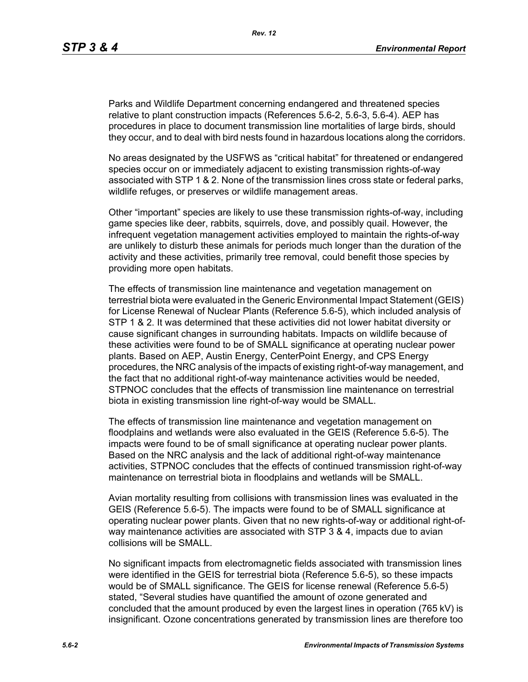Parks and Wildlife Department concerning endangered and threatened species relative to plant construction impacts (References 5.6-2, 5.6-3, 5.6-4). AEP has procedures in place to document transmission line mortalities of large birds, should they occur, and to deal with bird nests found in hazardous locations along the corridors.

No areas designated by the USFWS as "critical habitat" for threatened or endangered species occur on or immediately adjacent to existing transmission rights-of-way associated with STP 1 & 2. None of the transmission lines cross state or federal parks, wildlife refuges, or preserves or wildlife management areas.

Other "important" species are likely to use these transmission rights-of-way, including game species like deer, rabbits, squirrels, dove, and possibly quail. However, the infrequent vegetation management activities employed to maintain the rights-of-way are unlikely to disturb these animals for periods much longer than the duration of the activity and these activities, primarily tree removal, could benefit those species by providing more open habitats.

The effects of transmission line maintenance and vegetation management on terrestrial biota were evaluated in the Generic Environmental Impact Statement (GEIS) for License Renewal of Nuclear Plants (Reference 5.6-5), which included analysis of STP 1 & 2. It was determined that these activities did not lower habitat diversity or cause significant changes in surrounding habitats. Impacts on wildlife because of these activities were found to be of SMALL significance at operating nuclear power plants. Based on AEP, Austin Energy, CenterPoint Energy, and CPS Energy procedures, the NRC analysis of the impacts of existing right-of-way management, and the fact that no additional right-of-way maintenance activities would be needed, STPNOC concludes that the effects of transmission line maintenance on terrestrial biota in existing transmission line right-of-way would be SMALL.

The effects of transmission line maintenance and vegetation management on floodplains and wetlands were also evaluated in the GEIS (Reference 5.6-5). The impacts were found to be of small significance at operating nuclear power plants. Based on the NRC analysis and the lack of additional right-of-way maintenance activities, STPNOC concludes that the effects of continued transmission right-of-way maintenance on terrestrial biota in floodplains and wetlands will be SMALL.

Avian mortality resulting from collisions with transmission lines was evaluated in the GEIS (Reference 5.6-5). The impacts were found to be of SMALL significance at operating nuclear power plants. Given that no new rights-of-way or additional right-ofway maintenance activities are associated with STP 3 & 4, impacts due to avian collisions will be SMALL.

No significant impacts from electromagnetic fields associated with transmission lines were identified in the GEIS for terrestrial biota (Reference 5.6-5), so these impacts would be of SMALL significance. The GEIS for license renewal (Reference 5.6-5) stated, "Several studies have quantified the amount of ozone generated and concluded that the amount produced by even the largest lines in operation (765 kV) is insignificant. Ozone concentrations generated by transmission lines are therefore too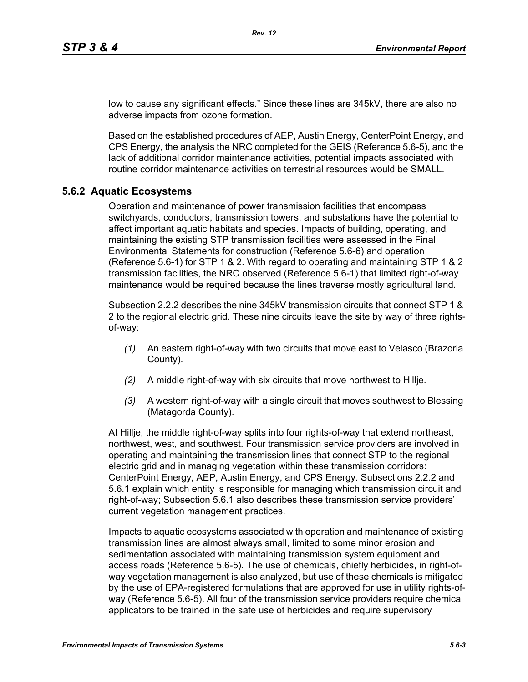low to cause any significant effects." Since these lines are 345kV, there are also no adverse impacts from ozone formation.

Based on the established procedures of AEP, Austin Energy, CenterPoint Energy, and CPS Energy, the analysis the NRC completed for the GEIS (Reference 5.6-5), and the lack of additional corridor maintenance activities, potential impacts associated with routine corridor maintenance activities on terrestrial resources would be SMALL.

#### **5.6.2 Aquatic Ecosystems**

Operation and maintenance of power transmission facilities that encompass switchyards, conductors, transmission towers, and substations have the potential to affect important aquatic habitats and species. Impacts of building, operating, and maintaining the existing STP transmission facilities were assessed in the Final Environmental Statements for construction (Reference 5.6-6) and operation (Reference 5.6-1) for STP 1 & 2. With regard to operating and maintaining STP 1 & 2 transmission facilities, the NRC observed (Reference 5.6-1) that limited right-of-way maintenance would be required because the lines traverse mostly agricultural land.

Subsection 2.2.2 describes the nine 345kV transmission circuits that connect STP 1 & 2 to the regional electric grid. These nine circuits leave the site by way of three rightsof-way:

- *(1)* An eastern right-of-way with two circuits that move east to Velasco (Brazoria County).
- *(2)* A middle right-of-way with six circuits that move northwest to Hillje.
- *(3)* A western right-of-way with a single circuit that moves southwest to Blessing (Matagorda County).

At Hillje, the middle right-of-way splits into four rights-of-way that extend northeast, northwest, west, and southwest. Four transmission service providers are involved in operating and maintaining the transmission lines that connect STP to the regional electric grid and in managing vegetation within these transmission corridors: CenterPoint Energy, AEP, Austin Energy, and CPS Energy. Subsections 2.2.2 and 5.6.1 explain which entity is responsible for managing which transmission circuit and right-of-way; Subsection 5.6.1 also describes these transmission service providers' current vegetation management practices.

Impacts to aquatic ecosystems associated with operation and maintenance of existing transmission lines are almost always small, limited to some minor erosion and sedimentation associated with maintaining transmission system equipment and access roads (Reference 5.6-5). The use of chemicals, chiefly herbicides, in right-ofway vegetation management is also analyzed, but use of these chemicals is mitigated by the use of EPA-registered formulations that are approved for use in utility rights-ofway (Reference 5.6-5). All four of the transmission service providers require chemical applicators to be trained in the safe use of herbicides and require supervisory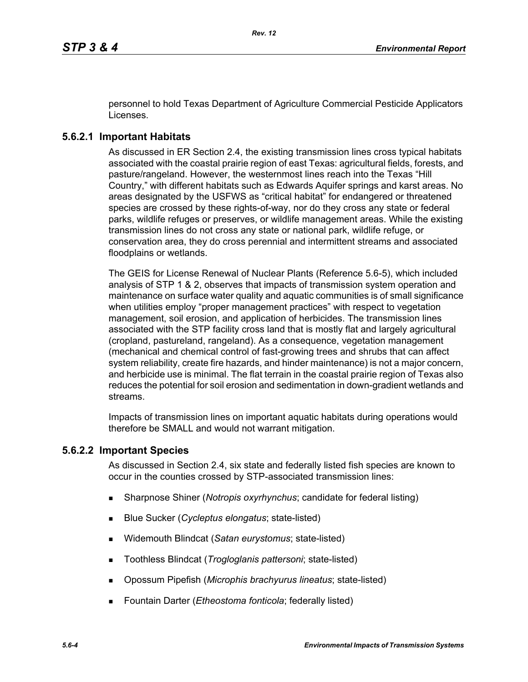personnel to hold Texas Department of Agriculture Commercial Pesticide Applicators Licenses.

## **5.6.2.1 Important Habitats**

As discussed in ER Section 2.4, the existing transmission lines cross typical habitats associated with the coastal prairie region of east Texas: agricultural fields, forests, and pasture/rangeland. However, the westernmost lines reach into the Texas "Hill Country," with different habitats such as Edwards Aquifer springs and karst areas. No areas designated by the USFWS as "critical habitat" for endangered or threatened species are crossed by these rights-of-way, nor do they cross any state or federal parks, wildlife refuges or preserves, or wildlife management areas. While the existing transmission lines do not cross any state or national park, wildlife refuge, or conservation area, they do cross perennial and intermittent streams and associated floodplains or wetlands.

The GEIS for License Renewal of Nuclear Plants (Reference 5.6-5), which included analysis of STP 1 & 2, observes that impacts of transmission system operation and maintenance on surface water quality and aquatic communities is of small significance when utilities employ "proper management practices" with respect to vegetation management, soil erosion, and application of herbicides. The transmission lines associated with the STP facility cross land that is mostly flat and largely agricultural (cropland, pastureland, rangeland). As a consequence, vegetation management (mechanical and chemical control of fast-growing trees and shrubs that can affect system reliability, create fire hazards, and hinder maintenance) is not a major concern, and herbicide use is minimal. The flat terrain in the coastal prairie region of Texas also reduces the potential for soil erosion and sedimentation in down-gradient wetlands and streams.

Impacts of transmission lines on important aquatic habitats during operations would therefore be SMALL and would not warrant mitigation.

## **5.6.2.2 Important Species**

As discussed in Section 2.4, six state and federally listed fish species are known to occur in the counties crossed by STP-associated transmission lines:

- Sharpnose Shiner (*Notropis oxyrhynchus*; candidate for federal listing)
- Blue Sucker (*Cycleptus elongatus*; state-listed)
- Widemouth Blindcat (*Satan eurystomus*; state-listed)
- Toothless Blindcat (*Trogloglanis pattersoni*; state-listed)
- Opossum Pipefish (*Microphis brachyurus lineatus*; state-listed)
- Fountain Darter (*Etheostoma fonticola*; federally listed)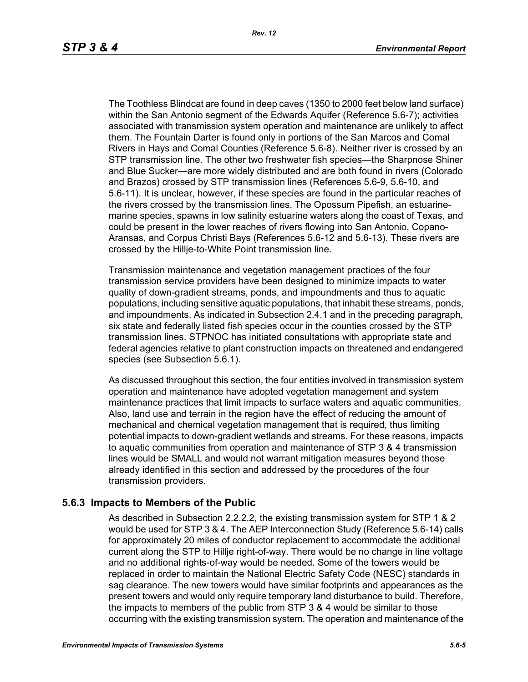The Toothless Blindcat are found in deep caves (1350 to 2000 feet below land surface) within the San Antonio segment of the Edwards Aquifer (Reference 5.6-7); activities associated with transmission system operation and maintenance are unlikely to affect them. The Fountain Darter is found only in portions of the San Marcos and Comal Rivers in Hays and Comal Counties (Reference 5.6-8). Neither river is crossed by an STP transmission line. The other two freshwater fish species—the Sharpnose Shiner and Blue Sucker—are more widely distributed and are both found in rivers (Colorado and Brazos) crossed by STP transmission lines (References 5.6-9, 5.6-10, and 5.6-11). It is unclear, however, if these species are found in the particular reaches of the rivers crossed by the transmission lines. The Opossum Pipefish, an estuarinemarine species, spawns in low salinity estuarine waters along the coast of Texas, and could be present in the lower reaches of rivers flowing into San Antonio, Copano-Aransas, and Corpus Christi Bays (References 5.6-12 and 5.6-13). These rivers are crossed by the Hillje-to-White Point transmission line.

Transmission maintenance and vegetation management practices of the four transmission service providers have been designed to minimize impacts to water quality of down-gradient streams, ponds, and impoundments and thus to aquatic populations, including sensitive aquatic populations, that inhabit these streams, ponds, and impoundments. As indicated in Subsection 2.4.1 and in the preceding paragraph, six state and federally listed fish species occur in the counties crossed by the STP transmission lines. STPNOC has initiated consultations with appropriate state and federal agencies relative to plant construction impacts on threatened and endangered species (see Subsection 5.6.1).

As discussed throughout this section, the four entities involved in transmission system operation and maintenance have adopted vegetation management and system maintenance practices that limit impacts to surface waters and aquatic communities. Also, land use and terrain in the region have the effect of reducing the amount of mechanical and chemical vegetation management that is required, thus limiting potential impacts to down-gradient wetlands and streams. For these reasons, impacts to aquatic communities from operation and maintenance of STP 3 & 4 transmission lines would be SMALL and would not warrant mitigation measures beyond those already identified in this section and addressed by the procedures of the four transmission providers.

#### **5.6.3 Impacts to Members of the Public**

As described in Subsection 2.2.2.2, the existing transmission system for STP 1 & 2 would be used for STP 3 & 4. The AEP Interconnection Study (Reference 5.6-14) calls for approximately 20 miles of conductor replacement to accommodate the additional current along the STP to Hillje right-of-way. There would be no change in line voltage and no additional rights-of-way would be needed. Some of the towers would be replaced in order to maintain the National Electric Safety Code (NESC) standards in sag clearance. The new towers would have similar footprints and appearances as the present towers and would only require temporary land disturbance to build. Therefore, the impacts to members of the public from STP 3 & 4 would be similar to those occurring with the existing transmission system. The operation and maintenance of the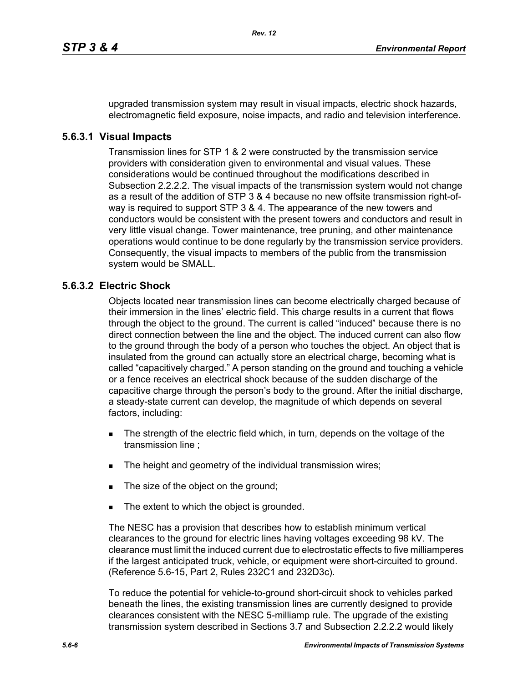upgraded transmission system may result in visual impacts, electric shock hazards, electromagnetic field exposure, noise impacts, and radio and television interference.

#### **5.6.3.1 Visual Impacts**

Transmission lines for STP 1 & 2 were constructed by the transmission service providers with consideration given to environmental and visual values. These considerations would be continued throughout the modifications described in Subsection 2.2.2.2. The visual impacts of the transmission system would not change as a result of the addition of STP 3 & 4 because no new offsite transmission right-ofway is required to support STP 3 & 4. The appearance of the new towers and conductors would be consistent with the present towers and conductors and result in very little visual change. Tower maintenance, tree pruning, and other maintenance operations would continue to be done regularly by the transmission service providers. Consequently, the visual impacts to members of the public from the transmission system would be SMALL.

## **5.6.3.2 Electric Shock**

Objects located near transmission lines can become electrically charged because of their immersion in the lines' electric field. This charge results in a current that flows through the object to the ground. The current is called "induced" because there is no direct connection between the line and the object. The induced current can also flow to the ground through the body of a person who touches the object. An object that is insulated from the ground can actually store an electrical charge, becoming what is called "capacitively charged." A person standing on the ground and touching a vehicle or a fence receives an electrical shock because of the sudden discharge of the capacitive charge through the person's body to the ground. After the initial discharge, a steady-state current can develop, the magnitude of which depends on several factors, including:

- The strength of the electric field which, in turn, depends on the voltage of the transmission line ;
- The height and geometry of the individual transmission wires;
- The size of the object on the ground;
- The extent to which the object is grounded.

The NESC has a provision that describes how to establish minimum vertical clearances to the ground for electric lines having voltages exceeding 98 kV. The clearance must limit the induced current due to electrostatic effects to five milliamperes if the largest anticipated truck, vehicle, or equipment were short-circuited to ground. (Reference 5.6-15, Part 2, Rules 232C1 and 232D3c).

To reduce the potential for vehicle-to-ground short-circuit shock to vehicles parked beneath the lines, the existing transmission lines are currently designed to provide clearances consistent with the NESC 5-milliamp rule. The upgrade of the existing transmission system described in Sections 3.7 and Subsection 2.2.2.2 would likely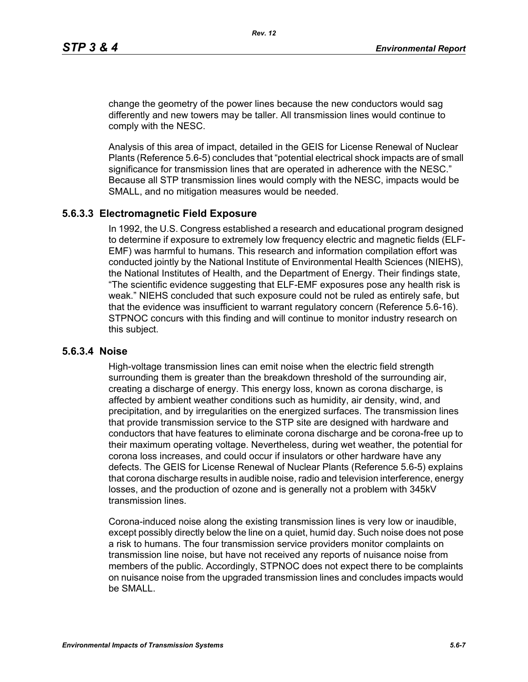change the geometry of the power lines because the new conductors would sag differently and new towers may be taller. All transmission lines would continue to comply with the NESC.

Analysis of this area of impact, detailed in the GEIS for License Renewal of Nuclear Plants (Reference 5.6-5) concludes that "potential electrical shock impacts are of small significance for transmission lines that are operated in adherence with the NESC." Because all STP transmission lines would comply with the NESC, impacts would be SMALL, and no mitigation measures would be needed.

#### **5.6.3.3 Electromagnetic Field Exposure**

In 1992, the U.S. Congress established a research and educational program designed to determine if exposure to extremely low frequency electric and magnetic fields (ELF-EMF) was harmful to humans. This research and information compilation effort was conducted jointly by the National Institute of Environmental Health Sciences (NIEHS), the National Institutes of Health, and the Department of Energy. Their findings state, "The scientific evidence suggesting that ELF-EMF exposures pose any health risk is weak." NIEHS concluded that such exposure could not be ruled as entirely safe, but that the evidence was insufficient to warrant regulatory concern (Reference 5.6-16). STPNOC concurs with this finding and will continue to monitor industry research on this subject.

#### **5.6.3.4 Noise**

High-voltage transmission lines can emit noise when the electric field strength surrounding them is greater than the breakdown threshold of the surrounding air, creating a discharge of energy. This energy loss, known as corona discharge, is affected by ambient weather conditions such as humidity, air density, wind, and precipitation, and by irregularities on the energized surfaces. The transmission lines that provide transmission service to the STP site are designed with hardware and conductors that have features to eliminate corona discharge and be corona-free up to their maximum operating voltage. Nevertheless, during wet weather, the potential for corona loss increases, and could occur if insulators or other hardware have any defects. The GEIS for License Renewal of Nuclear Plants (Reference 5.6-5) explains that corona discharge results in audible noise, radio and television interference, energy losses, and the production of ozone and is generally not a problem with 345kV transmission lines.

Corona-induced noise along the existing transmission lines is very low or inaudible, except possibly directly below the line on a quiet, humid day. Such noise does not pose a risk to humans. The four transmission service providers monitor complaints on transmission line noise, but have not received any reports of nuisance noise from members of the public. Accordingly, STPNOC does not expect there to be complaints on nuisance noise from the upgraded transmission lines and concludes impacts would be SMALL.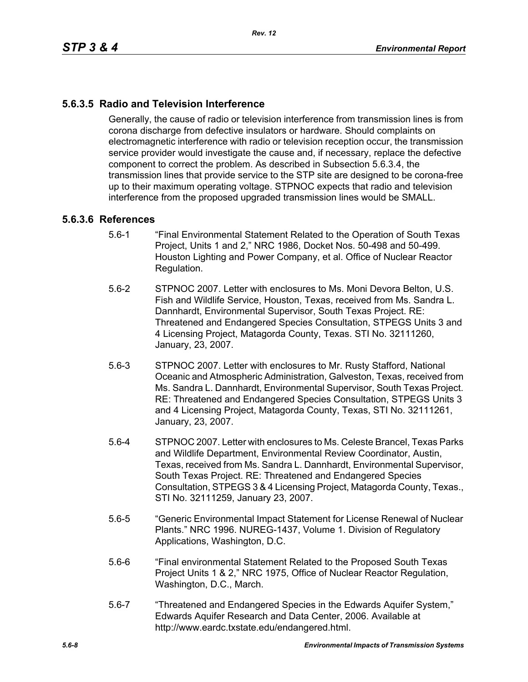# **5.6.3.5 Radio and Television Interference**

Generally, the cause of radio or television interference from transmission lines is from corona discharge from defective insulators or hardware. Should complaints on electromagnetic interference with radio or television reception occur, the transmission service provider would investigate the cause and, if necessary, replace the defective component to correct the problem. As described in Subsection 5.6.3.4, the transmission lines that provide service to the STP site are designed to be corona-free up to their maximum operating voltage. STPNOC expects that radio and television interference from the proposed upgraded transmission lines would be SMALL.

#### **5.6.3.6 References**

- 5.6-1 "Final Environmental Statement Related to the Operation of South Texas Project, Units 1 and 2," NRC 1986, Docket Nos. 50-498 and 50-499. Houston Lighting and Power Company, et al. Office of Nuclear Reactor Regulation.
- 5.6-2 STPNOC 2007. Letter with enclosures to Ms. Moni Devora Belton, U.S. Fish and Wildlife Service, Houston, Texas, received from Ms. Sandra L. Dannhardt, Environmental Supervisor, South Texas Project. RE: Threatened and Endangered Species Consultation, STPEGS Units 3 and 4 Licensing Project, Matagorda County, Texas. STI No. 32111260, January, 23, 2007.
- 5.6-3 STPNOC 2007. Letter with enclosures to Mr. Rusty Stafford, National Oceanic and Atmospheric Administration, Galveston, Texas, received from Ms. Sandra L. Dannhardt, Environmental Supervisor, South Texas Project. RE: Threatened and Endangered Species Consultation, STPEGS Units 3 and 4 Licensing Project, Matagorda County, Texas, STI No. 32111261, January, 23, 2007.
- 5.6-4 STPNOC 2007. Letter with enclosures to Ms. Celeste Brancel, Texas Parks and Wildlife Department, Environmental Review Coordinator, Austin, Texas, received from Ms. Sandra L. Dannhardt, Environmental Supervisor, South Texas Project. RE: Threatened and Endangered Species Consultation, STPEGS 3 & 4 Licensing Project, Matagorda County, Texas., STI No. 32111259, January 23, 2007.
- 5.6-5 "Generic Environmental Impact Statement for License Renewal of Nuclear Plants." NRC 1996. NUREG-1437, Volume 1. Division of Regulatory Applications, Washington, D.C.
- 5.6-6 "Final environmental Statement Related to the Proposed South Texas Project Units 1 & 2," NRC 1975, Office of Nuclear Reactor Regulation, Washington, D.C., March.
- 5.6-7 "Threatened and Endangered Species in the Edwards Aquifer System," Edwards Aquifer Research and Data Center, 2006. Available at http://www.eardc.txstate.edu/endangered.html.